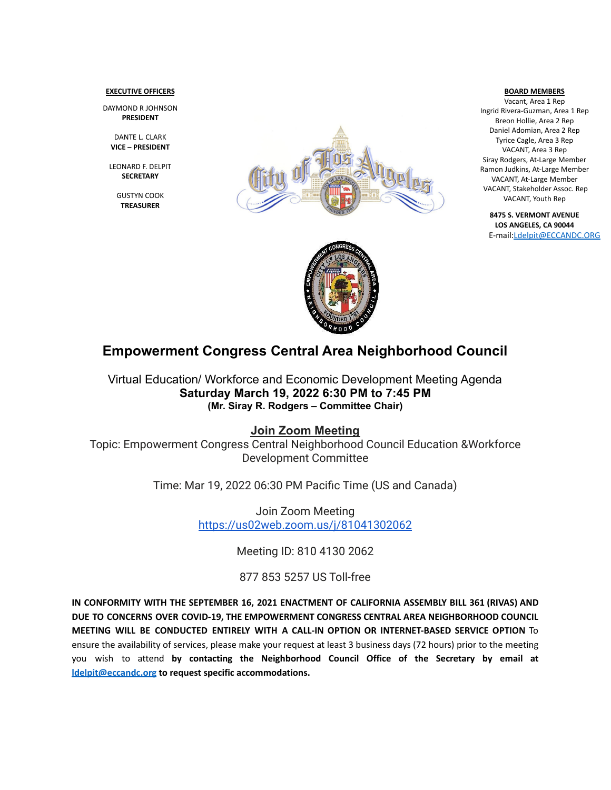#### **EXECUTIVE OFFICERS**

DAYMOND R JOHNSON **PRESIDENT**

DANTE L. CLARK **VICE – PRESIDENT**

LEONARD F. DELPIT **SECRETARY**

> GUSTYN COOK **TREASURER**





Vacant, Area 1 Rep Ingrid Rivera-Guzman, Area 1 Rep Breon Hollie, Area 2 Rep Daniel Adomian, Area 2 Rep Tyrice Cagle, Area 3 Rep VACANT, Area 3 Rep Siray Rodgers, At-Large Member Ramon Judkins, At-Large Member VACANT, At-Large Member VACANT, Stakeholder Assoc. Rep VACANT, Youth Rep

**8475 S. VERMONT AVENUE LOS ANGELES, CA 90044** E-mail[:Ldelpit@ECCANDC.ORG](mailto:Ldelpit@ECCANDC.ORG)



# **Empowerment Congress Central Area Neighborhood Council**

Virtual Education/ Workforce and Economic Development Meeting Agenda **Saturday March 19, 2022 6:30 PM to 7:45 PM (Mr. Siray R. Rodgers – Committee Chair)**

### **Join Zoom Meeting**

Topic: Empowerment Congress Central Neighborhood Council Education &Workforce Development Committee

Time: Mar 19, 2022 06:30 PM Pacific Time (US and Canada)

Join Zoom Meeting <https://us02web.zoom.us/j/81041302062>

Meeting ID: 810 4130 2062

## 877 853 5257 US Toll-free

**IN CONFORMITY WITH THE SEPTEMBER 16, 2021 ENACTMENT OF CALIFORNIA ASSEMBLY BILL 361 (RIVAS) AND DUE TO CONCERNS OVER COVID-19, THE EMPOWERMENT CONGRESS CENTRAL AREA NEIGHBORHOOD COUNCIL MEETING WILL BE CONDUCTED ENTIRELY WITH A CALL-IN OPTION OR INTERNET-BASED SERVICE OPTION** To ensure the availability of services, please make your request at least 3 business days (72 hours) prior to the meeting you wish to attend **by contacting the Neighborhood Council Office of the Secretary by email at [ldelpit@eccandc.org](mailto:ldelpit@eccandc.org) to request specific accommodations.**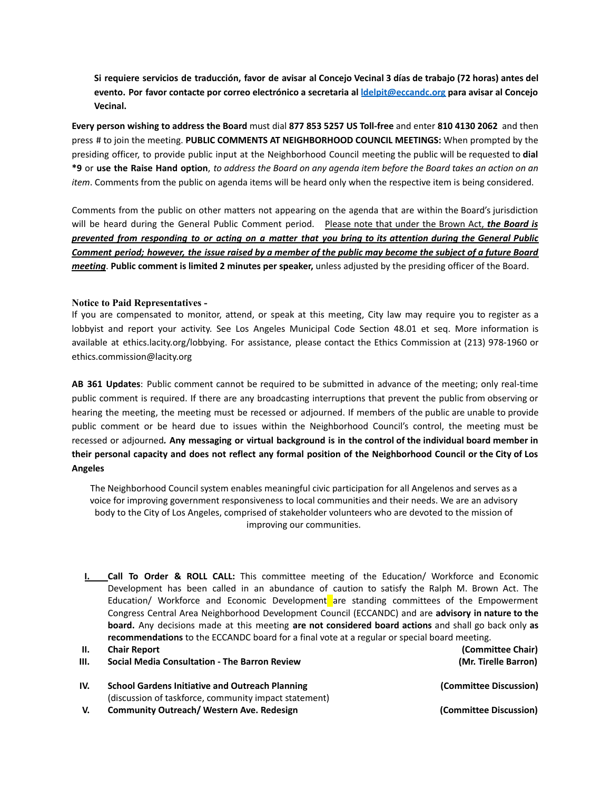Si requiere servicios de traducción, favor de avisar al Concejo Vecinal 3 días de trabajo (72 horas) antes del **evento. Por favor contacte por correo electrónico a secretaria al [ldelpit@eccandc.org](mailto:ldelpit@eccandc.org) para avisar al Concejo Vecinal.**

**Every person wishing to address the Board** must dial **877 853 5257 US Toll-free** and enter **810 4130 2062** and then press # to join the meeting. **PUBLIC COMMENTS AT NEIGHBORHOOD COUNCIL MEETINGS:** When prompted by the presiding officer, to provide public input at the Neighborhood Council meeting the public will be requested to **dial** \*9 or use the Raise Hand option, to address the Board on any agenda item before the Board takes an action on an *item*. Comments from the public on agenda items will be heard only when the respective item is being considered.

Comments from the public on other matters not appearing on the agenda that are within the Board's jurisdiction will be heard during the General Public Comment period. Please note that under the Brown Act, *the Board is* prevented from responding to or acting on a matter that you bring to its attention during the General Public Comment period; however, the issue raised by a member of the public may become the subject of a future Board *meeting*. **Public comment is limited 2 minutes per speaker,** unless adjusted by the presiding officer of the Board.

#### **Notice to Paid Representatives -**

If you are compensated to monitor, attend, or speak at this meeting, City law may require you to register as a lobbyist and report your activity. See Los Angeles Municipal Code Section 48.01 et seq. More information is available at ethics.lacity.org/lobbying. For assistance, please contact the Ethics Commission at (213) 978-1960 or ethics.commission@lacity.org

**AB 361 Updates**: Public comment cannot be required to be submitted in advance of the meeting; only real-time public comment is required. If there are any broadcasting interruptions that prevent the public from observing or hearing the meeting, the meeting must be recessed or adjourned. If members of the public are unable to provide public comment or be heard due to issues within the Neighborhood Council's control, the meeting must be recessed or adjourned*.* **Any messaging or virtual background is in the control of the individual board member in** their personal capacity and does not reflect any formal position of the Neighborhood Council or the City of Los **Angeles**

The Neighborhood Council system enables meaningful civic participation for all Angelenos and serves as a voice for improving government responsiveness to local communities and their needs. We are an advisory body to the City of Los Angeles, comprised of stakeholder volunteers who are devoted to the mission of improving our communities.

**I. Call To Order & ROLL CALL:** This committee meeting of the Education/ Workforce and Economic Development has been called in an abundance of caution to satisfy the Ralph M. Brown Act. The Education/ Workforce and Economic Development are standing committees of the Empowerment Congress Central Area Neighborhood Development Council (ECCANDC) and are **advisory in nature to the board.** Any decisions made at this meeting **are not considered board actions** and shall go back only **as recommendations** to the ECCANDC board for a final vote at a regular or special board meeting.

| H.  | <b>Chair Report</b>                                                                                             | (Committee Chair)      |
|-----|-----------------------------------------------------------------------------------------------------------------|------------------------|
| Ш.  | <b>Social Media Consultation - The Barron Review</b>                                                            | (Mr. Tirelle Barron)   |
| IV. | <b>School Gardens Initiative and Outreach Planning</b><br>(discussion of taskforce, community impact statement) | (Committee Discussion) |

**V. Community Outreach/ Western Ave. Redesign (Committee Discussion)**